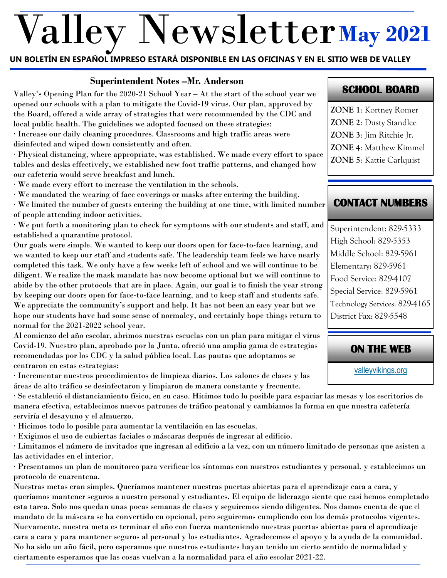# Valley Newsletter **May 2021**

#### **UN BOLETÍN EN ESPAÑOL IMPRESO ESTARÁ DISPONIBLE EN LAS OFICINAS Y EN EL SITIO WEB DE VALLEY**

#### **Superintendent Notes –Mr. Anderson**

Valley's Opening Plan for the 2020-21 School Year – At the start of the school year we opened our schools with a plan to mitigate the Covid-19 virus. Our plan, approved by the Board, offered a wide array of strategies that were recommended by the CDC and local public health. The guidelines we adopted focused on these strategies: · Increase our daily cleaning procedures. Classrooms and high traffic areas were disinfected and wiped down consistently and often. · Physical distancing, where appropriate, was established. We made every effort to space tables and desks effectively, we established new foot traffic patterns, and changed how our cafeteria would serve breakfast and lunch. · We made every effort to increase the ventilation in the schools. · We mandated the wearing of face coverings or masks after entering the building. · We limited the number of guests entering the building at one time, with limited number of people attending indoor activities. · We put forth a monitoring plan to check for symptoms with our students and staff, and established a quarantine protocol. Our goals were simple. We wanted to keep our doors open for face-to-face learning, and we wanted to keep our staff and students safe. The leadership team feels we have nearly completed this task. We only have a few weeks left of school and we will continue to be diligent. We realize the mask mandate has now become optional but we will continue to abide by the other protocols that are in place. Again, our goal is to finish the year strong by keeping our doors open for face-to-face learning, and to keep staff and students safe. We appreciate the community's support and help. It has not been an easy year but we

hope our students have had some sense of normalcy, and certainly hope things return to normal for the 2021-2022 school year.

Al comienzo del año escolar, abrimos nuestras escuelas con un plan para mitigar el virus Covid-19. Nuestro plan, aprobado por la Junta, ofreció una amplia gama de estrategias recomendadas por los CDC y la salud pública local. Las pautas que adoptamos se centraron en estas estrategias:

· Incrementar nuestros procedimientos de limpieza diarios. Los salones de clases y las áreas de alto tráfico se desinfectaron y limpiaron de manera constante y frecuente.

· Se estableció el distanciamiento físico, en su caso. Hicimos todo lo posible para espaciar las mesas y los escritorios de manera efectiva, establecimos nuevos patrones de tráfico peatonal y cambiamos la forma en que nuestra cafetería serviría el desayuno y el almuerzo.

· Hicimos todo lo posible para aumentar la ventilación en las escuelas.

· Exigimos el uso de cubiertas faciales o máscaras después de ingresar al edificio.

· Limitamos el número de invitados que ingresan al edificio a la vez, con un número limitado de personas que asisten a las actividades en el interior.

· Presentamos un plan de monitoreo para verificar los síntomas con nuestros estudiantes y personal, y establecimos un protocolo de cuarentena.

Nuestras metas eran simples. Queríamos mantener nuestras puertas abiertas para el aprendizaje cara a cara, y queríamos mantener seguros a nuestro personal y estudiantes. El equipo de liderazgo siente que casi hemos completado esta tarea. Solo nos quedan unas pocas semanas de clases y seguiremos siendo diligentes. Nos damos cuenta de que el mandato de la máscara se ha convertido en opcional, pero seguiremos cumpliendo con los demás protocolos vigentes. Nuevamente, nuestra meta es terminar el año con fuerza manteniendo nuestras puertas abiertas para el aprendizaje cara a cara y para mantener seguros al personal y los estudiantes. Agradecemos el apoyo y la ayuda de la comunidad. No ha sido un año fácil, pero esperamos que nuestros estudiantes hayan tenido un cierto sentido de normalidad y ciertamente esperamos que las cosas vuelvan a la normalidad para el año escolar 2021-22.

# **SCHOOL BOARD**

- **ZONE 1**: Kortney Romer
- **ZONE 2**: Dusty Standlee
- **ZONE 3**: Jim Ritchie Jr.
- **ZONE 4**: Matthew Kimmel
- **ZONE 5**: Kattie Carlquist

# **CONTACT NUMBERS**

Superintendent: 829-5333 High School: 829-5353 Middle School: 829-5961 Elementary: 829-5961 Food Service: 829-4107 Special Service: 829-5961 Technology Services: 829-4165 District Fax: 829-5548

# **ON THE WEB**

[valleyvikings.org](http://www.valleyvikings.org/)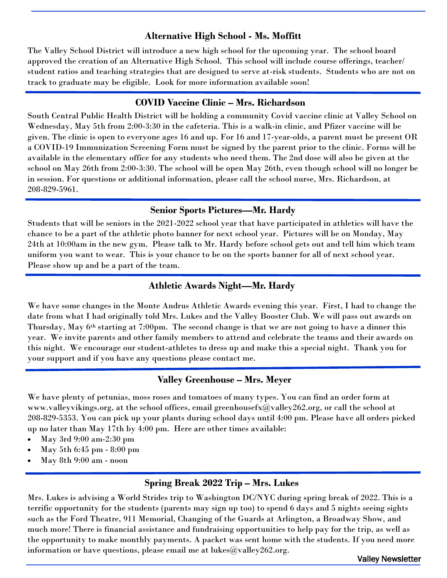#### **Alternative High School - Ms. Moffitt**

The Valley School District will introduce a new high school for the upcoming year. The school board approved the creation of an Alternative High School. This school will include course offerings, teacher/ student ratios and teaching strategies that are designed to serve at-risk students. Students who are not on track to graduate may be eligible. Look for more information available soon!

#### **COVID Vaccine Clinic – Mrs. Richardson**

South Central Public Health District will be holding a community Covid vaccine clinic at Valley School on Wednesday, May 5th from 2:00-3:30 in the cafeteria. This is a walk-in clinic, and Pfizer vaccine will be given. The clinic is open to everyone ages 16 and up. For 16 and 17-year-olds, a parent must be present OR a COVID-19 Immunization Screening Form must be signed by the parent prior to the clinic. Forms will be available in the elementary office for any students who need them. The 2nd dose will also be given at the school on May 26th from 2:00-3:30. The school will be open May 26th, even though school will no longer be in session. For questions or additional information, please call the school nurse, Mrs. Richardson, at 208-829-5961.

### **Senior Sports Pictures—Mr. Hardy**

Students that will be seniors in the 2021-2022 school year that have participated in athletics will have the chance to be a part of the athletic photo banner for next school year. Pictures will be on Monday, May 24th at 10:00am in the new gym. Please talk to Mr. Hardy before school gets out and tell him which team uniform you want to wear. This is your chance to be on the sports banner for all of next school year. Please show up and be a part of the team.

# **Athletic Awards Night—Mr. Hardy**

We have some changes in the Monte Andrus Athletic Awards evening this year. First, I had to change the date from what I had originally told Mrs. Lukes and the Valley Booster Club. We will pass out awards on Thursday, May 6th starting at 7:00pm. The second change is that we are not going to have a dinner this year. We invite parents and other family members to attend and celebrate the teams and their awards on this night. We encourage our student-athletes to dress up and make this a special night. Thank you for your support and if you have any questions please contact me.

#### **Valley Greenhouse – Mrs. Meyer**

We have plenty of petunias, moss roses and tomatoes of many types. You can find an order form at www.valleyvikings.org, at the school offices, email greenhousefx@valley262.org, or call the school at 208-829-5353. You can pick up your plants during school days until 4:00 pm. Please have all orders picked up no later than May 17th by 4:00 pm. Here are other times available:

- May 3rd 9:00 am-2:30 pm
- May 5th 6:45 pm 8:00 pm
- May 8th 9:00 am noon

## **Spring Break 2022 Trip – Mrs. Lukes**

Mrs. Lukes is advising a World Strides trip to Washington DC/NYC during spring break of 2022. This is a terrific opportunity for the students (parents may sign up too) to spend 6 days and 5 nights seeing sights such as the Ford Theatre, 911 Memorial, Changing of the Guards at Arlington, a Broadway Show, and much more! There is financial assistance and fundraising opportunities to help pay for the trip, as well as the opportunity to make monthly payments. A packet was sent home with the students. If you need more information or have questions, please email me at  $lukes@valley262.org$ .

Valley Newsletter